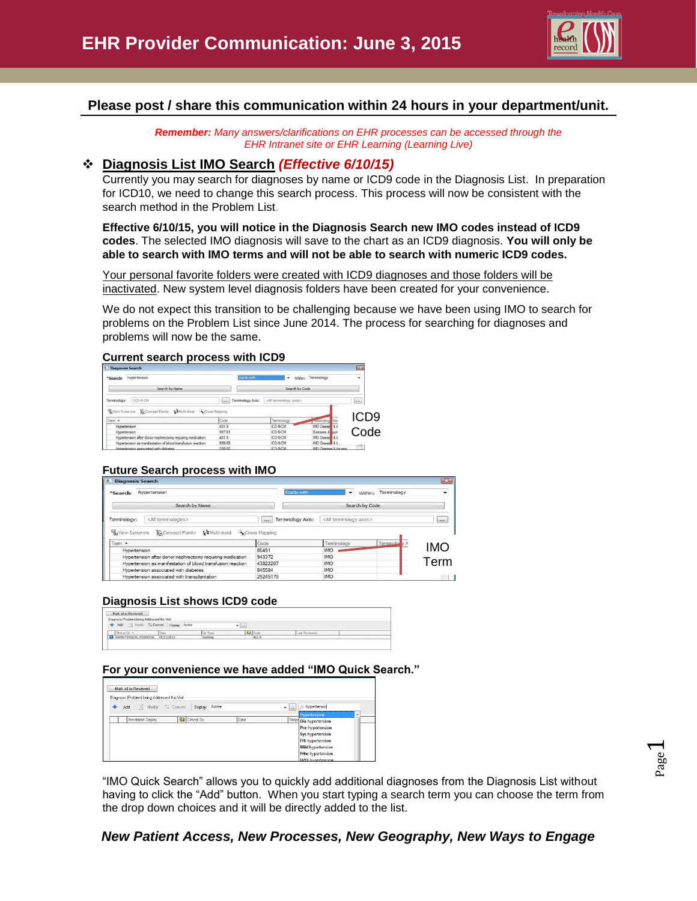

## **Please post / share this communication within 24 hours in your department/unit.**

*Remember: Many answers/clarifications on EHR processes can be accessed through the EHR Intranet site or EHR Learning (Learning Live)*

## **Diagnosis List IMO Search** *(Effective 6/10/15)*

Currently you may search for diagnoses by name or ICD9 code in the Diagnosis List. In preparation for ICD10, we need to change this search process. This process will now be consistent with the search method in the Problem List.

**Effective 6/10/15, you will notice in the Diagnosis Search new IMO codes instead of ICD9 codes**. The selected IMO diagnosis will save to the chart as an ICD9 diagnosis. **You will only be able to search with IMO terms and will not be able to search with numeric ICD9 codes.**

Your personal favorite folders were created with ICD9 diagnoses and those folders will be inactivated. New system level diagnosis folders have been created for your convenience.

We do not expect this transition to be challenging because we have been using IMO to search for problems on the Problem List since June 2014. The process for searching for diagnoses and problems will now be the same.

#### **Current search process with ICD9**

| <b>Diagnosis Search</b>                                     |                            |                                    | $\mathbb{R}$            |  |
|-------------------------------------------------------------|----------------------------|------------------------------------|-------------------------|--|
| hypertension<br>*Search:                                    | Starts with                | Within:<br>٠                       | Terminology<br>۰        |  |
| Search by Name                                              |                            | Search by Code                     |                         |  |
| ICD-9-CM<br>Terminology:                                    | Terminology Axis:<br>(111) | <all axes="" terminology=""></all> | $\cdots$                |  |
| Wew Synonym E= Concept Family & Multi Axial Recross Mapping |                            |                                    | ICD9                    |  |
| Tem A                                                       | Code                       | Terminology                        |                         |  |
| Hypertension                                                | 401.9                      | ICD-9-CM                           | <b>IMO</b> Diseas 8 k   |  |
| Hypertension                                                | 997.91                     | ICD-9-CM                           | Code<br>Diseases & hunt |  |
| Hypertension after donor nephrectomy requiring medication   | 401.9                      | ICD-9-CM                           | IMO Diseas & In         |  |
|                                                             |                            |                                    |                         |  |
| Hypertension as manifestation of blood transfusion reaction | 999.89                     | ICD-9-CM                           | <b>IMO Diseas 8 k</b>   |  |

### **Future Search process with IMO**

| <b>Diagnosis Search</b>                                            |                                    |                                     |               | $-x -$   |
|--------------------------------------------------------------------|------------------------------------|-------------------------------------|---------------|----------|
| hypertension<br>*Search:                                           | Starts with                        | Within:<br>$\overline{\phantom{a}}$ | Terminology   | -        |
| Search by Name                                                     |                                    | Search by Code                      |               |          |
| <all terminologies=""><br/>Terminology:</all>                      | Terminology Axis:<br><b>ALCOHO</b> | <all axes="" terminology=""></all>  |               | $\cdots$ |
| <b>La</b> Multi Axial<br>View Synonym<br><b>E</b> = Concept Family | Cross Mapping                      |                                     |               |          |
| Tem $\triangle$                                                    | Code                               | Terminology                         | Terminology A |          |
| Hypertension                                                       | 86491                              | <b>IMO</b>                          |               |          |
|                                                                    |                                    |                                     |               | IMO      |
| Hypertension after donor nephrectomy requiring medication          | 943372                             | <b>IMO</b>                          |               |          |
| Hypertension as manifestation of blood transfusion reaction        | 43822207                           | <b>IMO</b>                          |               |          |
| Hypertension associated with diabetes                              | 845584                             | <b>IMO</b>                          |               | Term     |

### **Diagnosis List shows ICD9 code**

| Diagnosis (Problem) being Addressed this Visit- |                                |         |                  |                 |  |
|-------------------------------------------------|--------------------------------|---------|------------------|-----------------|--|
| <b>bbA</b>                                      | Nodiy - Convert Direlay Active |         | ۰<br><b>List</b> |                 |  |
|                                                 |                                |         |                  |                 |  |
|                                                 |                                |         |                  |                 |  |
| sinal Parra<br>HYPERTENSION, ESSENTIAL          |                                | Dx Type | <b>J</b> Code    | (Last Reviewed) |  |

### **For your convenience we have added "IMO Quick Search."**

| Mark all as Reviewed                           |                                      |      |                                    |           |
|------------------------------------------------|--------------------------------------|------|------------------------------------|-----------|
| Diagnosis (Problem) being Addressed this Visit |                                      |      |                                    |           |
| ÷                                              | Add Modify = Convert Display: Active |      | hypertensio<br>$\bullet$ $\bullet$ |           |
|                                                |                                      |      | <b>Hypertension</b>                | $\lambda$ |
| <b>Annotated Display</b>                       | <b>U</b> Cinical Dx                  | Date | Respo Dia hypertension             |           |
|                                                |                                      |      | <b>Pre-hypertension</b>            |           |
|                                                |                                      |      | <b>Sys hypertension</b>            |           |
|                                                |                                      |      | <b>FH: hypertension</b>            |           |
|                                                |                                      |      | <b>Mild</b> hypertension           |           |
|                                                |                                      |      | <b>FHx:</b> hypertension           |           |
|                                                |                                      |      | <b>H/O:</b> hypertension           |           |

"IMO Quick Search" allows you to quickly add additional diagnoses from the Diagnosis List without having to click the "Add" button. When you start typing a search term you can choose the term from the drop down choices and it will be directly added to the list.

## *New Patient Access, New Processes, New Geography, New Ways to Engage*